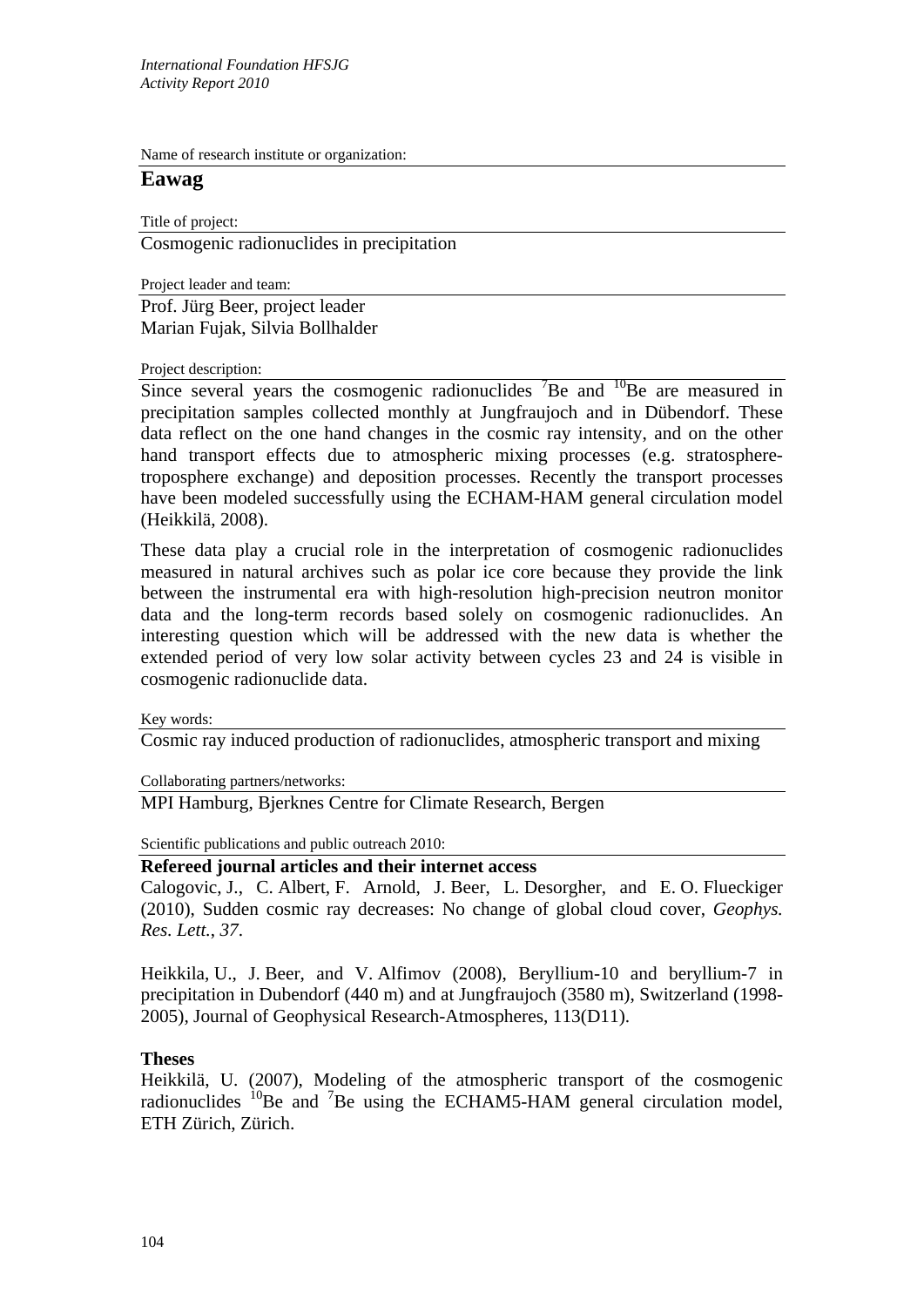Name of research institute or organization:

## **Eawag**

Title of project:

Cosmogenic radionuclides in precipitation

Project leader and team:

Prof. Jürg Beer, project leader Marian Fujak, Silvia Bollhalder

## Project description:

Since several years the cosmogenic radionuclides  ${}^{7}$ Be and  ${}^{10}$ Be are measured in precipitation samples collected monthly at Jungfraujoch and in Dübendorf. These data reflect on the one hand changes in the cosmic ray intensity, and on the other hand transport effects due to atmospheric mixing processes (e.g. stratospheretroposphere exchange) and deposition processes. Recently the transport processes have been modeled successfully using the ECHAM-HAM general circulation model (Heikkilä, 2008).

These data play a crucial role in the interpretation of cosmogenic radionuclides measured in natural archives such as polar ice core because they provide the link between the instrumental era with high-resolution high-precision neutron monitor data and the long-term records based solely on cosmogenic radionuclides. An interesting question which will be addressed with the new data is whether the extended period of very low solar activity between cycles 23 and 24 is visible in cosmogenic radionuclide data.

Key words:

Cosmic ray induced production of radionuclides, atmospheric transport and mixing

Collaborating partners/networks:

MPI Hamburg, Bjerknes Centre for Climate Research, Bergen

Scientific publications and public outreach 2010:

## **Refereed journal articles and their internet access**

Calogovic, J., C. Albert, F. Arnold, J. Beer, L. Desorgher, and E. O. Flueckiger (2010), Sudden cosmic ray decreases: No change of global cloud cover, *Geophys. Res. Lett.*, *37*.

Heikkila, U., J. Beer, and V. Alfimov (2008), Beryllium-10 and beryllium-7 in precipitation in Dubendorf (440 m) and at Jungfraujoch (3580 m), Switzerland (1998- 2005), Journal of Geophysical Research-Atmospheres, 113(D11).

## **Theses**

Heikkilä, U. (2007), Modeling of the atmospheric transport of the cosmogenic radionuclides  ${}^{10}$ Be and  ${}^{7}$ Be using the ECHAM5-HAM general circulation model, ETH Zürich, Zürich.